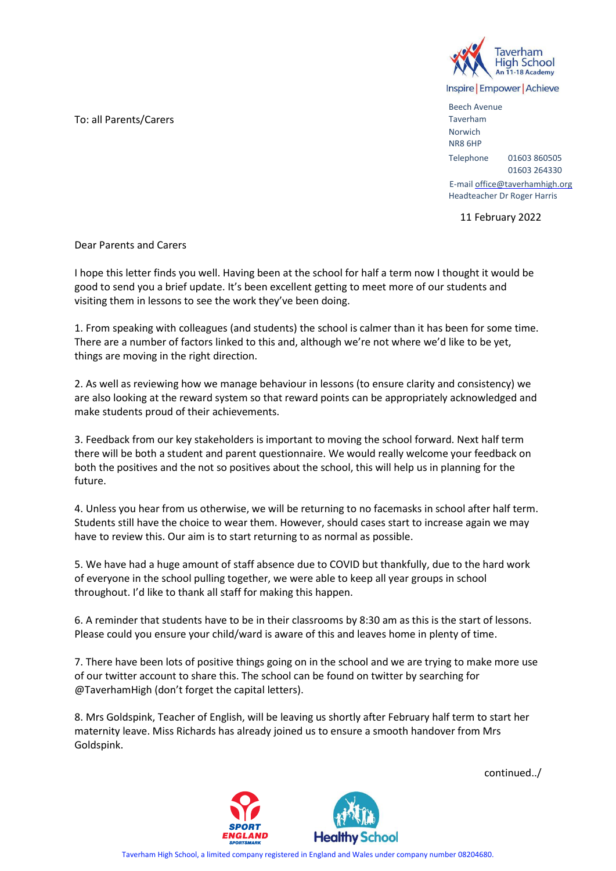To: all Parents/Carers



Inspire | Empower | Achieve

Beech Avenue Taverham Norwich NR8 6HP Telephone 01603 860505 01603 264330

E-mail office@taverhamhigh.org Headteacher Dr Roger Harris

11 February 2022

Dear Parents and Carers

I hope this letter finds you well. Having been at the school for half a term now I thought it would be good to send you a brief update. It's been excellent getting to meet more of our students and visiting them in lessons to see the work they've been doing.

1. From speaking with colleagues (and students) the school is calmer than it has been for some time. There are a number of factors linked to this and, although we're not where we'd like to be yet, things are moving in the right direction.

2. As well as reviewing how we manage behaviour in lessons (to ensure clarity and consistency) we are also looking at the reward system so that reward points can be appropriately acknowledged and make students proud of their achievements.

3. Feedback from our key stakeholders is important to moving the school forward. Next half term there will be both a student and parent questionnaire. We would really welcome your feedback on both the positives and the not so positives about the school, this will help us in planning for the future.

4. Unless you hear from us otherwise, we will be returning to no facemasks in school after half term. Students still have the choice to wear them. However, should cases start to increase again we may have to review this. Our aim is to start returning to as normal as possible.

5. We have had a huge amount of staff absence due to COVID but thankfully, due to the hard work of everyone in the school pulling together, we were able to keep all year groups in school throughout. I'd like to thank all staff for making this happen.

6. A reminder that students have to be in their classrooms by 8:30 am as this is the start of lessons. Please could you ensure your child/ward is aware of this and leaves home in plenty of time.

7. There have been lots of positive things going on in the school and we are trying to make more use of our twitter account to share this. The school can be found on twitter by searching for @TaverhamHigh (don't forget the capital letters).

8. Mrs Goldspink, Teacher of English, will be leaving us shortly after February half term to start her maternity leave. Miss Richards has already joined us to ensure a smooth handover from Mrs Goldspink.



continued../

Taverham High School, a limited company registered in England and Wales under company number 08204680.